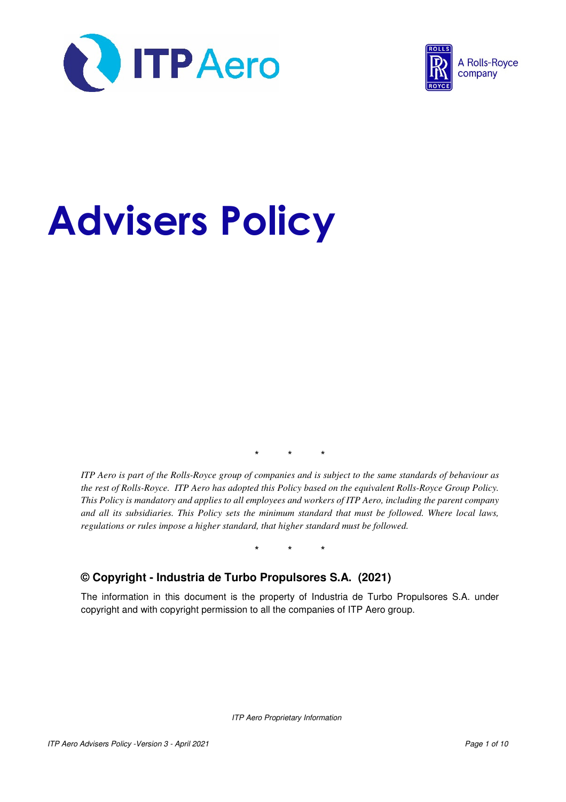



# Advisers Policy

\* \* \*

*ITP Aero is part of the Rolls-Royce group of companies and is subject to the same standards of behaviour as the rest of Rolls-Royce. ITP Aero has adopted this Policy based on the equivalent Rolls-Royce Group Policy. This Policy is mandatory and applies to all employees and workers of ITP Aero, including the parent company and all its subsidiaries. This Policy sets the minimum standard that must be followed. Where local laws, regulations or rules impose a higher standard, that higher standard must be followed.* 

\* \* \*

### **© Copyright - Industria de Turbo Propulsores S.A. (2021)**

The information in this document is the property of Industria de Turbo Propulsores S.A. under copyright and with copyright permission to all the companies of ITP Aero group.

ITP Aero Proprietary Information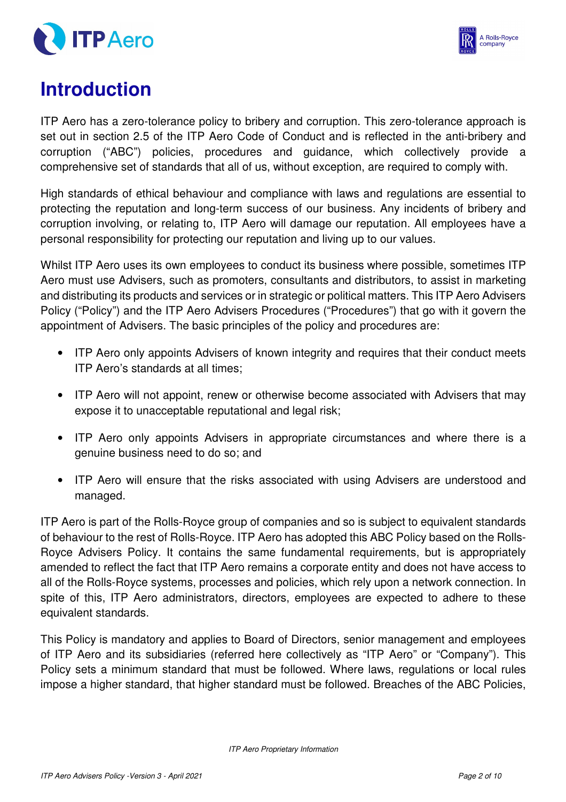



# **Introduction**

ITP Aero has a zero-tolerance policy to bribery and corruption. This zero-tolerance approach is set out in section 2.5 of the ITP Aero Code of Conduct and is reflected in the anti-bribery and corruption ("ABC") policies, procedures and guidance, which collectively provide a comprehensive set of standards that all of us, without exception, are required to comply with.

High standards of ethical behaviour and compliance with laws and regulations are essential to protecting the reputation and long-term success of our business. Any incidents of bribery and corruption involving, or relating to, ITP Aero will damage our reputation. All employees have a personal responsibility for protecting our reputation and living up to our values.

Whilst ITP Aero uses its own employees to conduct its business where possible, sometimes ITP Aero must use Advisers, such as promoters, consultants and distributors, to assist in marketing and distributing its products and services or in strategic or political matters. This ITP Aero Advisers Policy ("Policy") and the ITP Aero Advisers Procedures ("Procedures") that go with it govern the appointment of Advisers. The basic principles of the policy and procedures are:

- ITP Aero only appoints Advisers of known integrity and requires that their conduct meets ITP Aero's standards at all times;
- ITP Aero will not appoint, renew or otherwise become associated with Advisers that may expose it to unacceptable reputational and legal risk;
- ITP Aero only appoints Advisers in appropriate circumstances and where there is a genuine business need to do so; and
- ITP Aero will ensure that the risks associated with using Advisers are understood and managed.

ITP Aero is part of the Rolls-Royce group of companies and so is subject to equivalent standards of behaviour to the rest of Rolls-Royce. ITP Aero has adopted this ABC Policy based on the Rolls-Royce Advisers Policy. It contains the same fundamental requirements, but is appropriately amended to reflect the fact that ITP Aero remains a corporate entity and does not have access to all of the Rolls-Royce systems, processes and policies, which rely upon a network connection. In spite of this, ITP Aero administrators, directors, employees are expected to adhere to these equivalent standards.

This Policy is mandatory and applies to Board of Directors, senior management and employees of ITP Aero and its subsidiaries (referred here collectively as "ITP Aero" or "Company"). This Policy sets a minimum standard that must be followed. Where laws, regulations or local rules impose a higher standard, that higher standard must be followed. Breaches of the ABC Policies,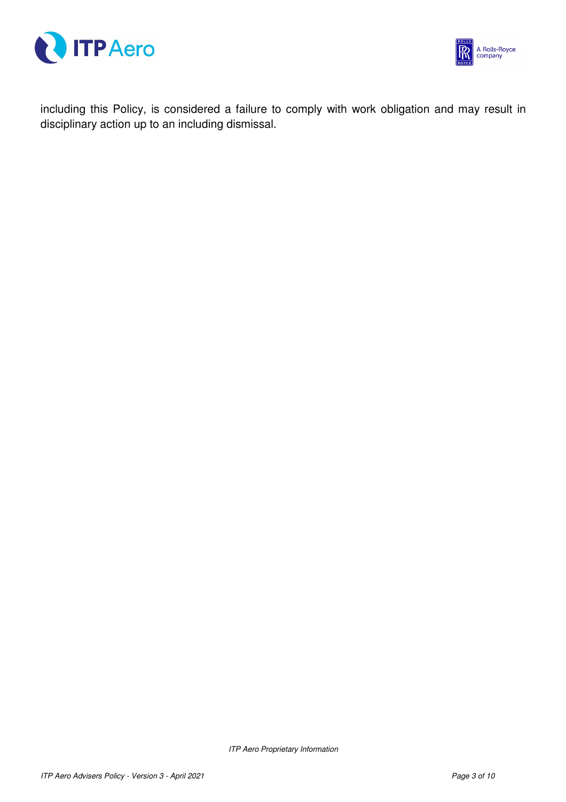



including this Policy, is considered a failure to comply with work obligation and may result in disciplinary action up to an including dismissal.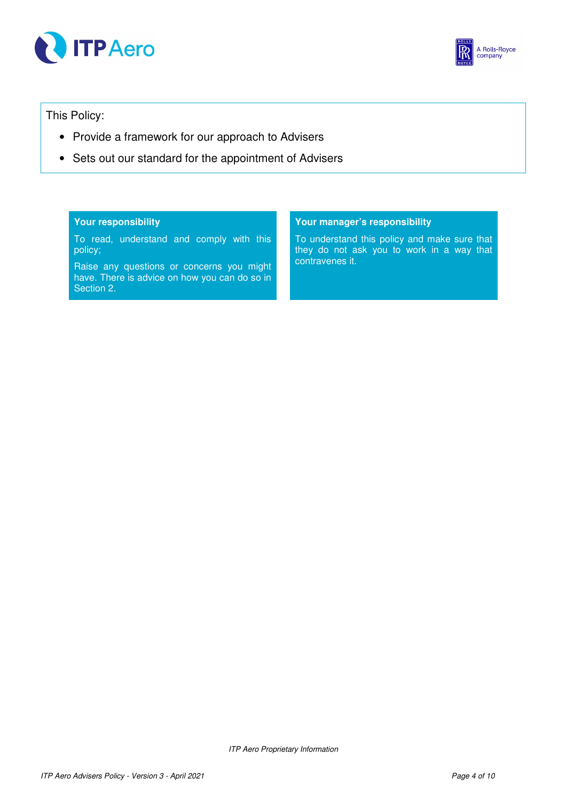



This Policy:

- Provide a framework for our approach to Advisers
- Sets out our standard for the appointment of Advisers

#### **Your responsibility**

To read, understand and comply with this policy;

Raise any questions or concerns you might have. There is advice on how you can do so in Section 2.

#### **Your manager's responsibility**

To understand this policy and make sure that they do not ask you to work in a way that contravenes it.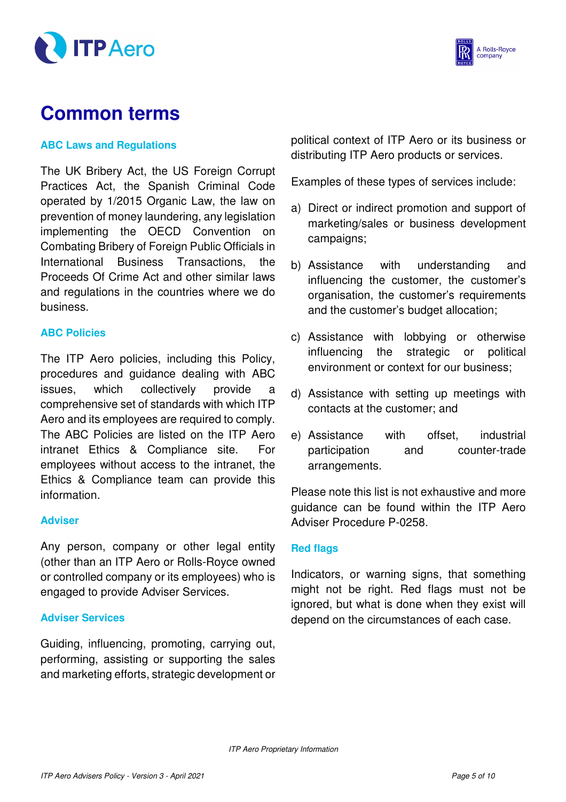



# **Common terms**

### **ABC Laws and Regulations**

The UK Bribery Act, the US Foreign Corrupt Practices Act, the Spanish Criminal Code operated by 1/2015 Organic Law, the law on prevention of money laundering, any legislation implementing the OECD Convention on Combating Bribery of Foreign Public Officials in International Business Transactions, the Proceeds Of Crime Act and other similar laws and regulations in the countries where we do business.

### **ABC Policies**

The ITP Aero policies, including this Policy, procedures and guidance dealing with ABC issues, which collectively provide a comprehensive set of standards with which ITP Aero and its employees are required to comply. The ABC Policies are listed on the ITP Aero intranet Ethics & Compliance site. For employees without access to the intranet, the Ethics & Compliance team can provide this information.

#### **Adviser**

Any person, company or other legal entity (other than an ITP Aero or Rolls-Royce owned or controlled company or its employees) who is engaged to provide Adviser Services.

### **Adviser Services**

Guiding, influencing, promoting, carrying out, performing, assisting or supporting the sales and marketing efforts, strategic development or political context of ITP Aero or its business or distributing ITP Aero products or services.

Examples of these types of services include:

- a) Direct or indirect promotion and support of marketing/sales or business development campaigns;
- b) Assistance with understanding and influencing the customer, the customer's organisation, the customer's requirements and the customer's budget allocation;
- c) Assistance with lobbying or otherwise influencing the strategic or political environment or context for our business;
- d) Assistance with setting up meetings with contacts at the customer; and
- e) Assistance with offset, industrial participation and counter-trade arrangements.

Please note this list is not exhaustive and more guidance can be found within the ITP Aero Adviser Procedure P-0258.

#### **Red flags**

Indicators, or warning signs, that something might not be right. Red flags must not be ignored, but what is done when they exist will depend on the circumstances of each case.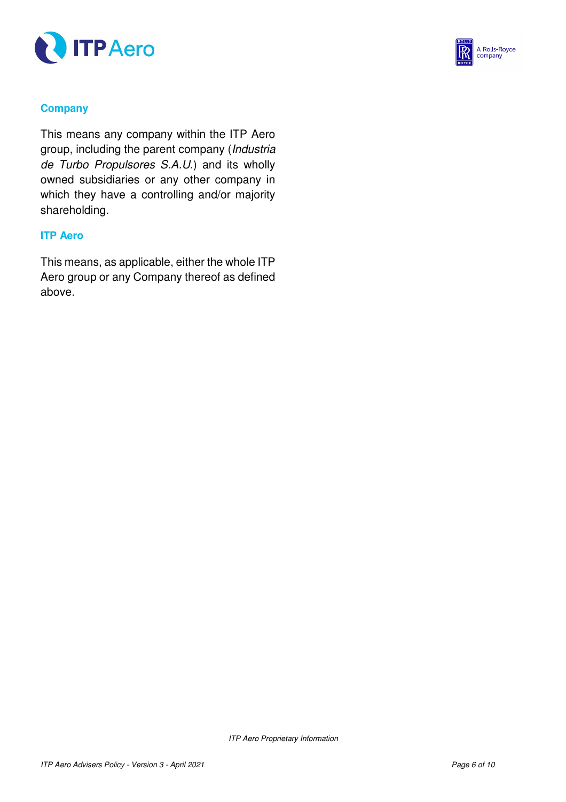



### **Company**

This means any company within the ITP Aero group, including the parent company (Industria de Turbo Propulsores S.A.U.) and its wholly owned subsidiaries or any other company in which they have a controlling and/or majority shareholding.

### **ITP Aero**

This means, as applicable, either the whole ITP Aero group or any Company thereof as defined above.

ITP Aero Proprietary Information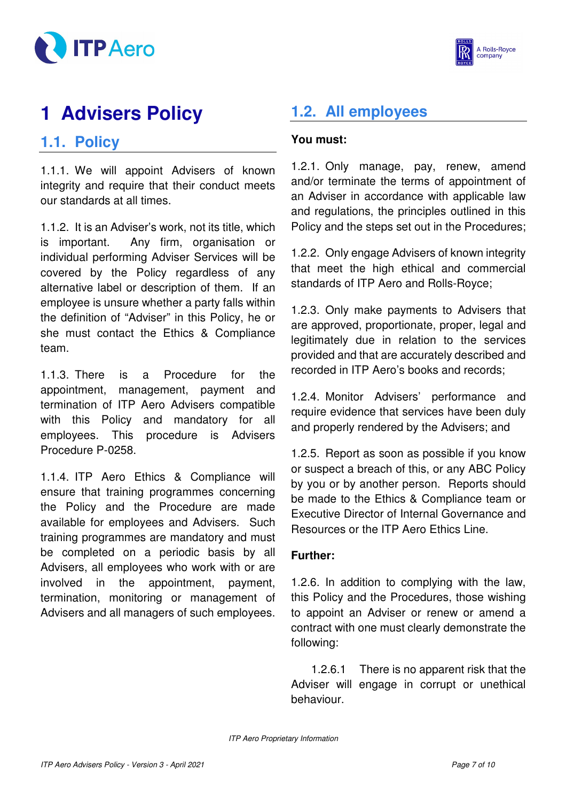



# **1 Advisers Policy**

### **1.1. Policy**

1.1.1. We will appoint Advisers of known integrity and require that their conduct meets our standards at all times.

1.1.2. It is an Adviser's work, not its title, which is important. Any firm, organisation or individual performing Adviser Services will be covered by the Policy regardless of any alternative label or description of them. If an employee is unsure whether a party falls within the definition of "Adviser" in this Policy, he or she must contact the Ethics & Compliance team.

1.1.3. There is a Procedure for the appointment, management, payment and termination of ITP Aero Advisers compatible with this Policy and mandatory for all employees. This procedure is Advisers Procedure P-0258.

1.1.4. ITP Aero Ethics & Compliance will ensure that training programmes concerning the Policy and the Procedure are made available for employees and Advisers. Such training programmes are mandatory and must be completed on a periodic basis by all Advisers, all employees who work with or are involved in the appointment, payment, termination, monitoring or management of Advisers and all managers of such employees.

# **1.2. All employees**

### **You must:**

1.2.1. Only manage, pay, renew, amend and/or terminate the terms of appointment of an Adviser in accordance with applicable law and regulations, the principles outlined in this Policy and the steps set out in the Procedures;

1.2.2. Only engage Advisers of known integrity that meet the high ethical and commercial standards of ITP Aero and Rolls-Royce;

1.2.3. Only make payments to Advisers that are approved, proportionate, proper, legal and legitimately due in relation to the services provided and that are accurately described and recorded in ITP Aero's books and records;

1.2.4. Monitor Advisers' performance and require evidence that services have been duly and properly rendered by the Advisers; and

1.2.5. Report as soon as possible if you know or suspect a breach of this, or any ABC Policy by you or by another person. Reports should be made to the Ethics & Compliance team or Executive Director of Internal Governance and Resources or the ITP Aero Ethics Line.

### **Further:**

1.2.6. In addition to complying with the law, this Policy and the Procedures, those wishing to appoint an Adviser or renew or amend a contract with one must clearly demonstrate the following:

1.2.6.1 There is no apparent risk that the Adviser will engage in corrupt or unethical behaviour.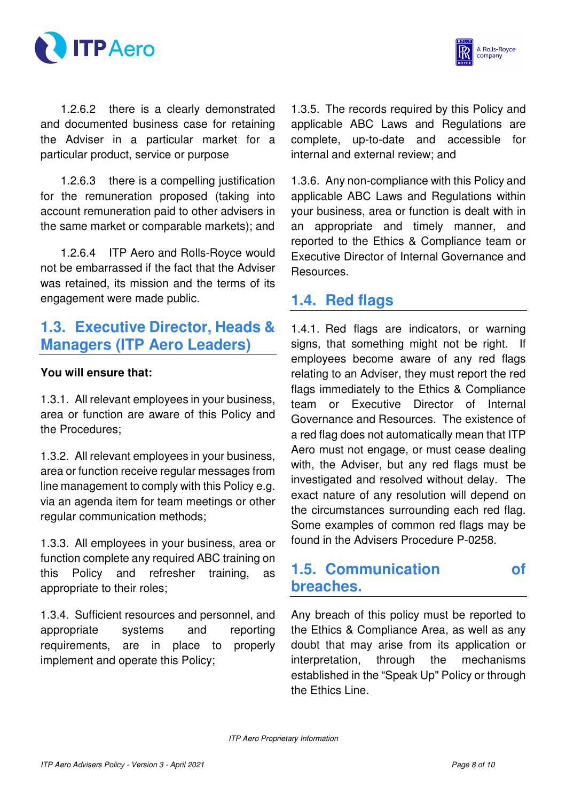



1.2.6.2 there is a clearly demonstrated and documented business case for retaining the Adviser in a particular market for a particular product, service or purpose

1.2.6.3 there is a compelling justification for the remuneration proposed (taking into account remuneration paid to other advisers in the same market or comparable markets); and

1.2.6.4 ITP Aero and Rolls-Royce would not be embarrassed if the fact that the Adviser was retained, its mission and the terms of its engagement were made public.

### **1.3. Executive Director, Heads & Managers (ITP Aero Leaders)**

### **You will ensure that:**

1.3.1. All relevant employees in your business, area or function are aware of this Policy and the Procedures;

1.3.2. All relevant employees in your business, area or function receive regular messages from line management to comply with this Policy e.g. via an agenda item for team meetings or other regular communication methods;

1.3.3. All employees in your business, area or function complete any required ABC training on this Policy and refresher training, as appropriate to their roles;

1.3.4. Sufficient resources and personnel, and appropriate systems and reporting requirements, are in place to properly implement and operate this Policy;

1.3.5. The records required by this Policy and applicable ABC Laws and Regulations are complete, up-to-date and accessible for internal and external review; and

1.3.6. Any non-compliance with this Policy and applicable ABC Laws and Regulations within your business, area or function is dealt with in an appropriate and timely manner, and reported to the Ethics & Compliance team or Executive Director of Internal Governance and Resources.

### **1.4. Red flags**

1.4.1. Red flags are indicators, or warning signs, that something might not be right. If employees become aware of any red flags relating to an Adviser, they must report the red flags immediately to the Ethics & Compliance team or Executive Director of Internal Governance and Resources. The existence of a red flag does not automatically mean that ITP Aero must not engage, or must cease dealing with, the Adviser, but any red flags must be investigated and resolved without delay. The exact nature of any resolution will depend on the circumstances surrounding each red flag. Some examples of common red flags may be found in the Advisers Procedure P-0258.

### **1.5. Communication of breaches.**

Any breach of this policy must be reported to the Ethics & Compliance Area, as well as any doubt that may arise from its application or interpretation, through the mechanisms established in the "Speak Up" Policy or through the Ethics Line.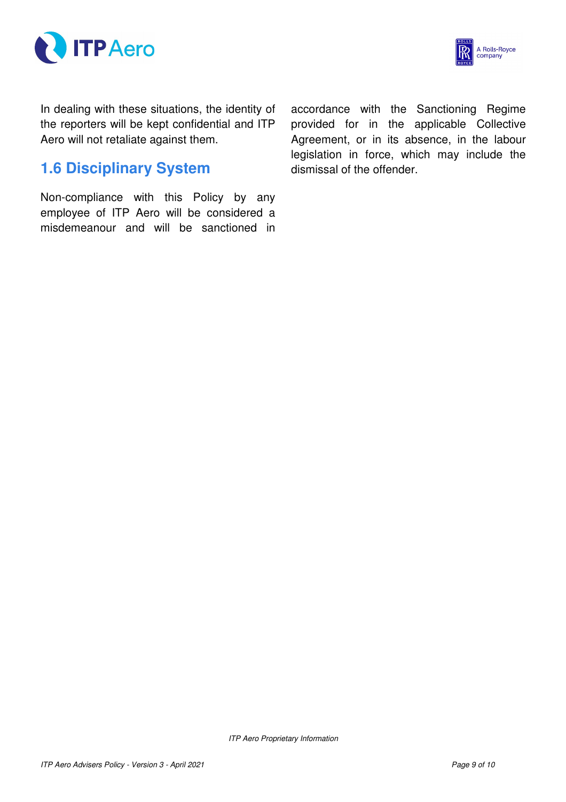



In dealing with these situations, the identity of the reporters will be kept confidential and ITP Aero will not retaliate against them.

## **1.6 Disciplinary System**

Non-compliance with this Policy by any employee of ITP Aero will be considered a misdemeanour and will be sanctioned in accordance with the Sanctioning Regime provided for in the applicable Collective Agreement, or in its absence, in the labour legislation in force, which may include the dismissal of the offender.